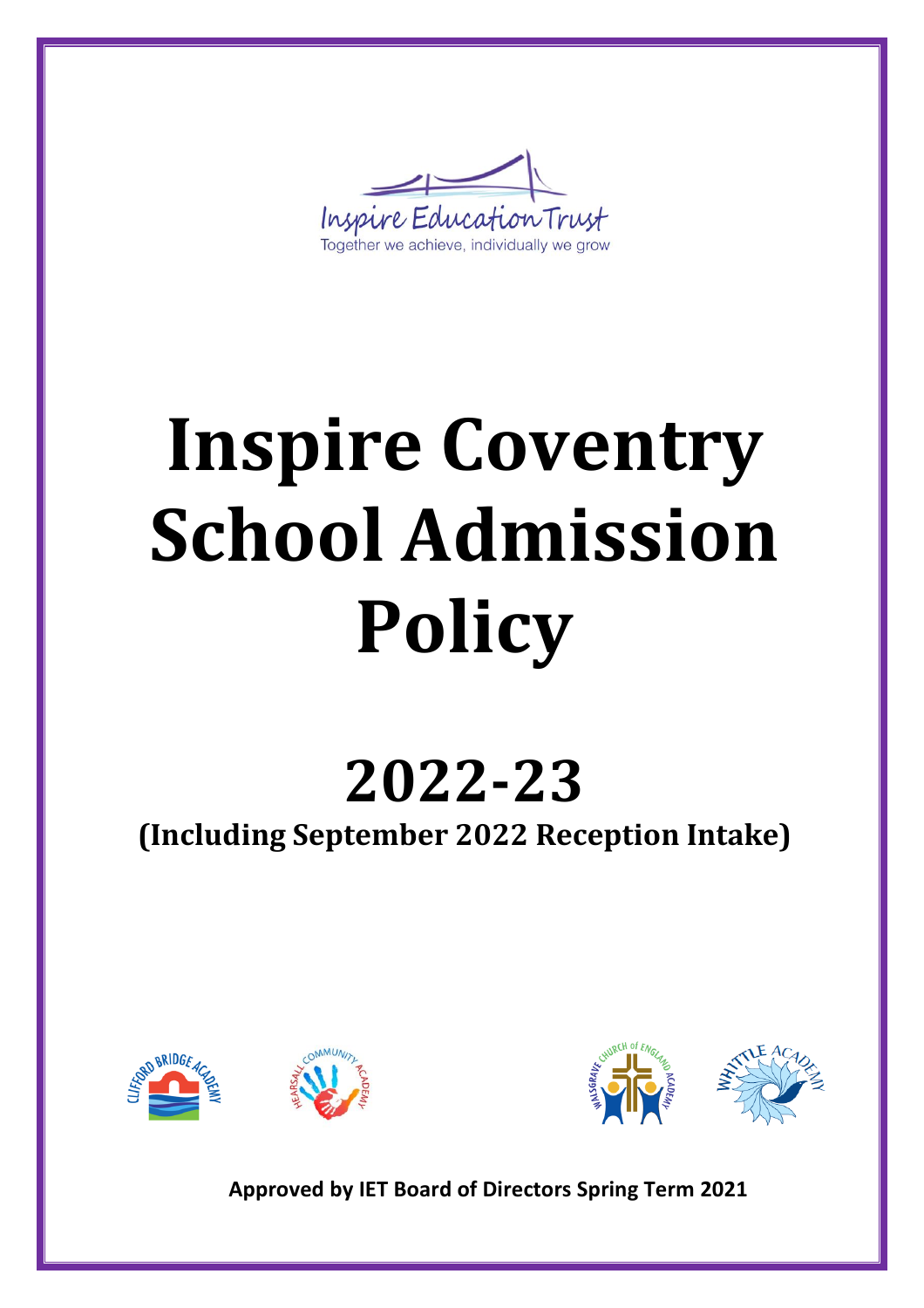Inspire Education Trust Together we achieve, individually we grow

# **Inspire Coventry School Admission Policy**

## **2022-23**

**(Including September 2022 Reception Intake)**







**Approved by IET Board of Directors Spring Term 2021**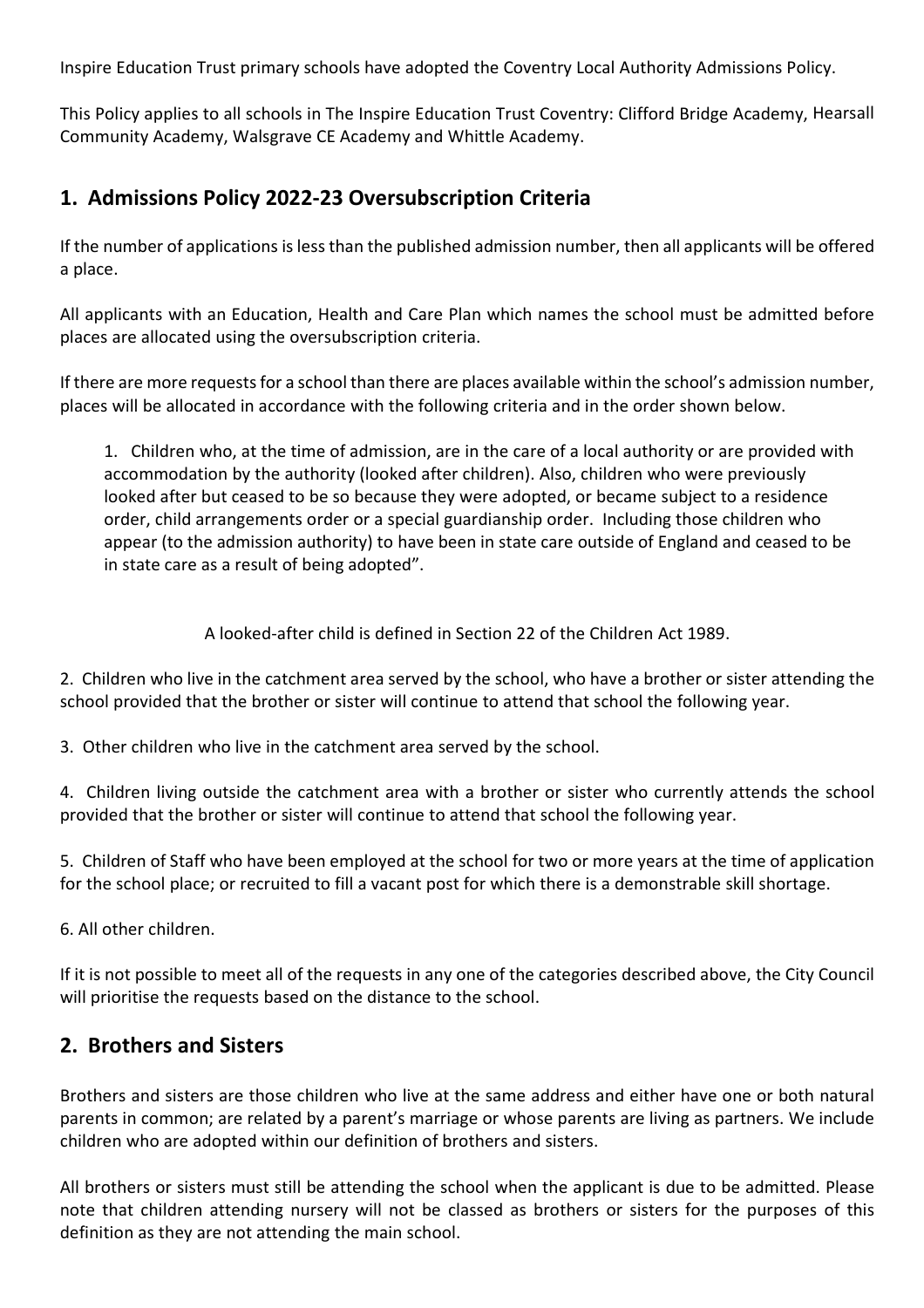Inspire Education Trust primary schools have adopted the Coventry Local Authority Admissions Policy.

This Policy applies to all schools in The Inspire Education Trust Coventry: Clifford Bridge Academy, Hearsall Community Academy, Walsgrave CE Academy and Whittle Academy.

#### **1. Admissions Policy 2022-23 Oversubscription Criteria**

If the number of applications isless than the published admission number, then all applicants will be offered a place.

All applicants with an Education, Health and Care Plan which names the school must be admitted before places are allocated using the oversubscription criteria.

If there are more requests for a school than there are places available within the school's admission number, places will be allocated in accordance with the following criteria and in the order shown below.

1. Children who, at the time of admission, are in the care of a local authority or are provided with accommodation by the authority (looked after children). Also, children who were previously looked after but ceased to be so because they were adopted, or became subject to a residence order, child arrangements order or a special guardianship order. Including those children who appear (to the admission authority) to have been in state care outside of England and ceased to be in state care as a result of being adopted".

A looked-after child is defined in Section 22 of the Children Act 1989.

2. Children who live in the catchment area served by the school, who have a brother or sister attending the school provided that the brother or sister will continue to attend that school the following year.

3. Other children who live in the catchment area served by the school.

4. Children living outside the catchment area with a brother or sister who currently attends the school provided that the brother or sister will continue to attend that school the following year.

5. Children of Staff who have been employed at the school for two or more years at the time of application for the school place; or recruited to fill a vacant post for which there is a demonstrable skill shortage.

6. All other children.

If it is not possible to meet all of the requests in any one of the categories described above, the City Council will prioritise the requests based on the distance to the school.

#### **2. Brothers and Sisters**

Brothers and sisters are those children who live at the same address and either have one or both natural parents in common; are related by a parent's marriage or whose parents are living as partners. We include children who are adopted within our definition of brothers and sisters.

All brothers or sisters must still be attending the school when the applicant is due to be admitted. Please note that children attending nursery will not be classed as brothers or sisters for the purposes of this definition as they are not attending the main school.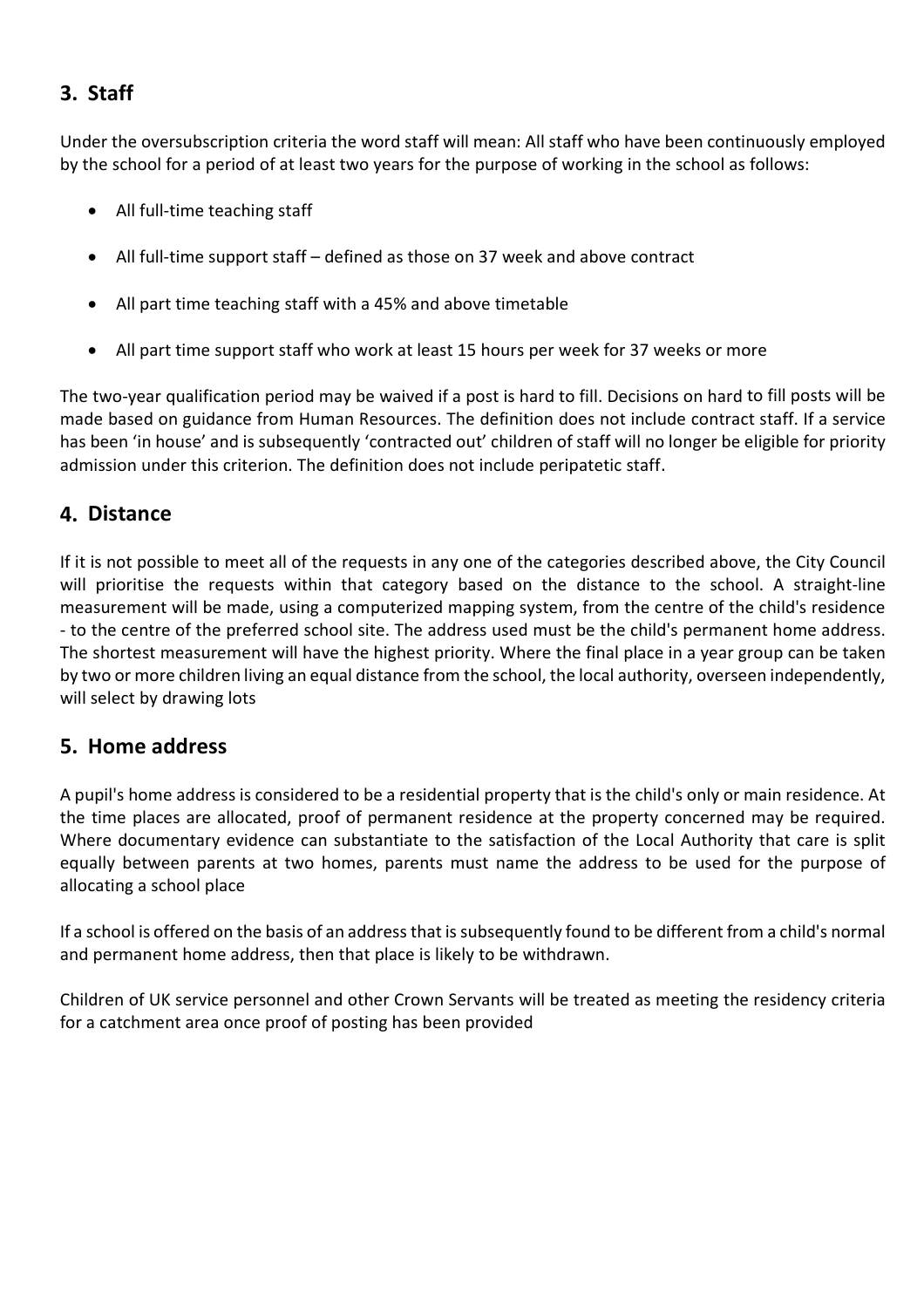#### **3. Staff**

Under the oversubscription criteria the word staff will mean: All staff who have been continuously employed by the school for a period of at least two years for the purpose of working in the school as follows:

- All full-time teaching staff
- All full-time support staff defined as those on 37 week and above contract
- All part time teaching staff with a 45% and above timetable
- All part time support staff who work at least 15 hours per week for 37 weeks or more

The two-year qualification period may be waived if a post is hard to fill. Decisions on hard to fill posts will be made based on guidance from Human Resources. The definition does not include contract staff. If a service has been 'in house' and is subsequently 'contracted out' children of staff will no longer be eligible for priority admission under this criterion. The definition does not include peripatetic staff.

#### **4. Distance**

If it is not possible to meet all of the requests in any one of the categories described above, the City Council will prioritise the requests within that category based on the distance to the school. A straight-line measurement will be made, using a computerized mapping system, from the centre of the child's residence - to the centre of the preferred school site. The address used must be the child's permanent home address. The shortest measurement will have the highest priority. Where the final place in a year group can be taken by two or more children living an equal distance from the school, the local authority, overseen independently, will select by drawing lots

#### **5. Home address**

A pupil's home address is considered to be a residential property that is the child's only or main residence. At the time places are allocated, proof of permanent residence at the property concerned may be required. Where documentary evidence can substantiate to the satisfaction of the Local Authority that care is split equally between parents at two homes, parents must name the address to be used for the purpose of allocating a school place

If a school is offered on the basis of an addressthat issubsequently found to be different from a child's normal and permanent home address, then that place is likely to be withdrawn.

Children of UK service personnel and other Crown Servants will be treated as meeting the residency criteria for a catchment area once proof of posting has been provided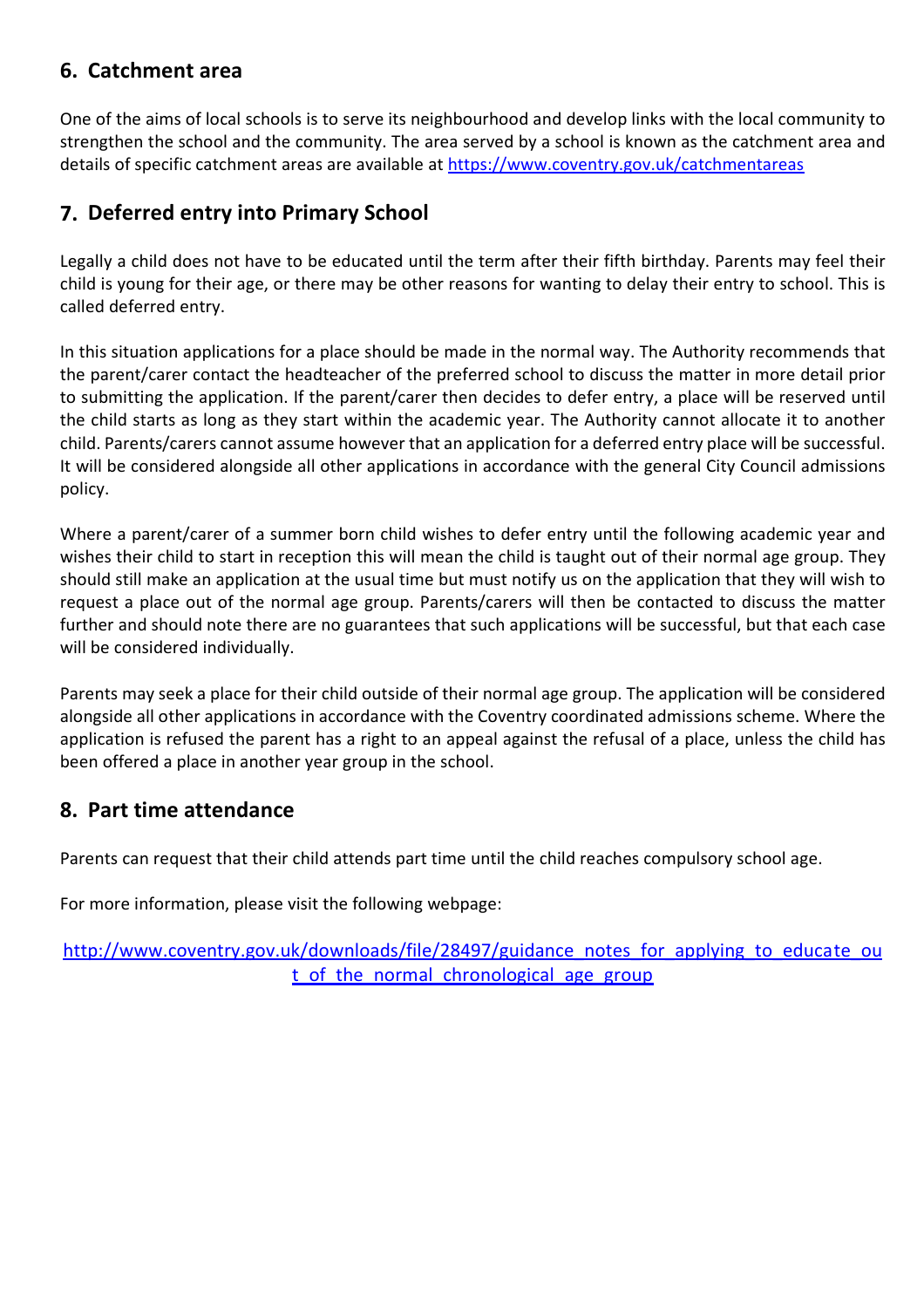#### **6. Catchment area**

One of the aims of local schools is to serve its neighbourhood and develop links with the local community to strengthen the school and the community. The area served by a school is known as the catchment area and details of specific catchment areas are available at https:[//www.coventry.gov.uk/catchmentareas](http://www.coventry.gov.uk/catchmentareas)

#### **7. Deferred entry into Primary School**

Legally a child does not have to be educated until the term after their fifth birthday. Parents may feel their child is young for their age, or there may be other reasons for wanting to delay their entry to school. This is called deferred entry.

In this situation applications for a place should be made in the normal way. The Authority recommends that the parent/carer contact the headteacher of the preferred school to discuss the matter in more detail prior to submitting the application. If the parent/carer then decides to defer entry, a place will be reserved until the child starts as long as they start within the academic year. The Authority cannot allocate it to another child. Parents/carers cannot assume however that an application for a deferred entry place will be successful. It will be considered alongside all other applications in accordance with the general City Council admissions policy.

Where a parent/carer of a summer born child wishes to defer entry until the following academic year and wishes their child to start in reception this will mean the child is taught out of their normal age group. They should still make an application at the usual time but must notify us on the application that they will wish to request a place out of the normal age group. Parents/carers will then be contacted to discuss the matter further and should note there are no guarantees that such applications will be successful, but that each case will be considered individually.

Parents may seek a place for their child outside of their normal age group. The application will be considered alongside all other applications in accordance with the Coventry coordinated admissions scheme. Where the application is refused the parent has a right to an appeal against the refusal of a place, unless the child has been offered a place in another year group in the school.

#### **8. Part time attendance**

Parents can request that their child attends part time until the child reaches compulsory school age.

For more information, please visit the following webpage:

[http://www.coventry.gov.uk/downloads/file/28497/guidance\\_notes\\_for\\_applying\\_to\\_educat](http://www.coventry.gov.uk/downloads/file/28497/guidance_notes_for_applying_to_educa)e\_ou t\_of\_the\_normal\_chronological\_age\_group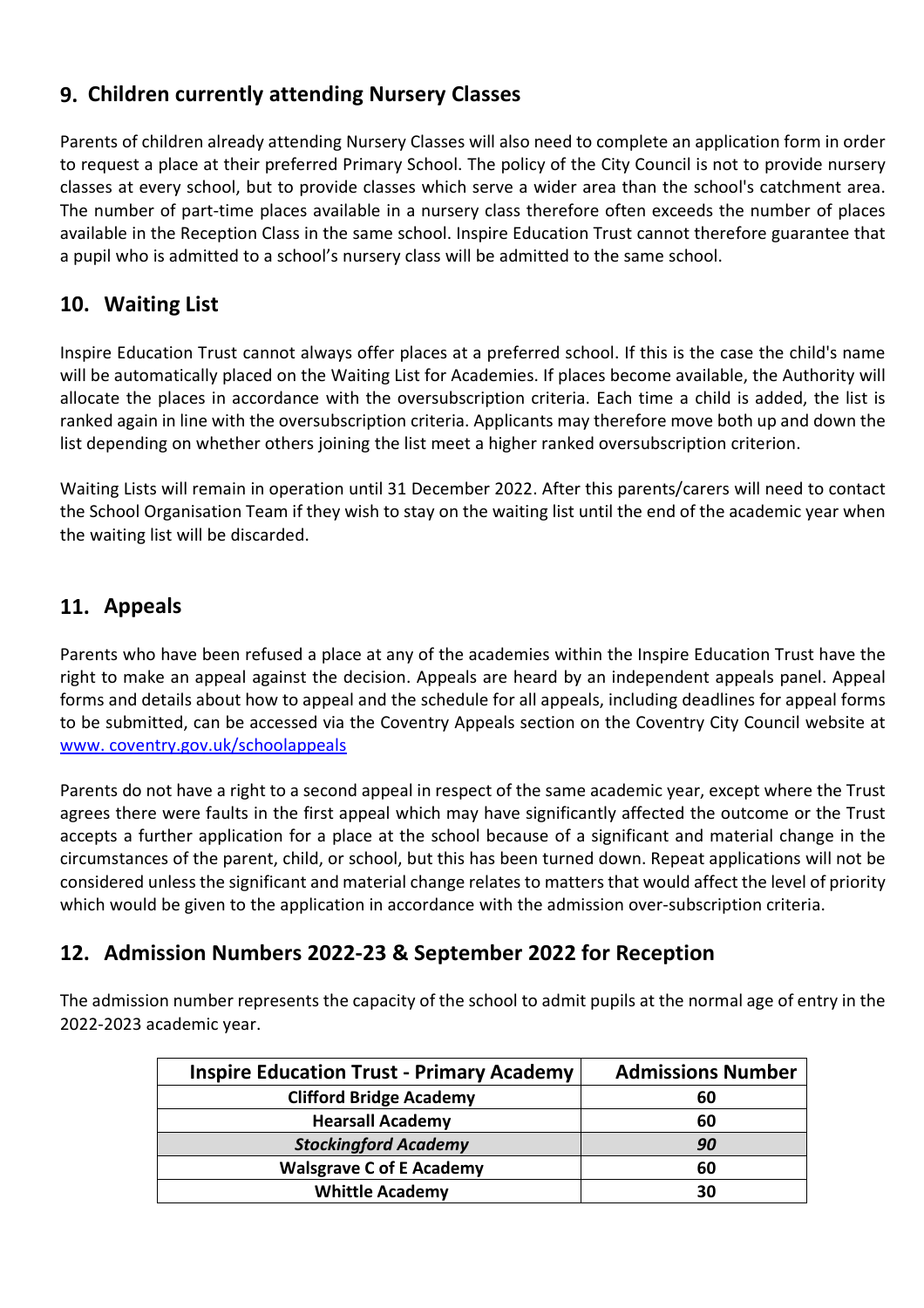#### **9. Children currently attending Nursery Classes**

Parents of children already attending Nursery Classes will also need to complete an application form in order to request a place at their preferred Primary School. The policy of the City Council is not to provide nursery classes at every school, but to provide classes which serve a wider area than the school's catchment area. The number of part-time places available in a nursery class therefore often exceeds the number of places available in the Reception Class in the same school. Inspire Education Trust cannot therefore guarantee that a pupil who is admitted to a school's nursery class will be admitted to the same school.

#### **10. Waiting List**

Inspire Education Trust cannot always offer places at a preferred school. If this is the case the child's name will be automatically placed on the Waiting List for Academies. If places become available, the Authority will allocate the places in accordance with the oversubscription criteria. Each time a child is added, the list is ranked again in line with the oversubscription criteria. Applicants may therefore move both up and down the list depending on whether others joining the list meet a higher ranked oversubscription criterion.

Waiting Lists will remain in operation until 31 December 2022. After this parents/carers will need to contact the School Organisation Team if they wish to stay on the waiting list until the end of the academic year when the waiting list will be discarded.

#### **11. Appeals**

Parents who have been refused a place at any of the academies within the Inspire Education Trust have the right to make an appeal against the decision. Appeals are heard by an independent appeals panel. Appeal forms and details about how to appeal and the schedule for all appeals, including deadlines for appeal forms to be submitted, can be accessed via the Coventry Appeals section on the Coventry City Council website at www. coventry.gov.uk/schoolappeals

Parents do not have a right to a second appeal in respect of the same academic year, except where the Trust agrees there were faults in the first appeal which may have significantly affected the outcome or the Trust accepts a further application for a place at the school because of a significant and material change in the circumstances of the parent, child, or school, but this has been turned down. Repeat applications will not be considered unless the significant and material change relates to matters that would affect the level of priority which would be given to the application in accordance with the admission over-subscription criteria.

#### **12. Admission Numbers 2022-23 & September 2022 for Reception**

The admission number represents the capacity of the school to admit pupils at the normal age of entry in the 2022-2023 academic year.

| <b>Inspire Education Trust - Primary Academy</b> | <b>Admissions Number</b> |
|--------------------------------------------------|--------------------------|
| <b>Clifford Bridge Academy</b>                   | 60                       |
| <b>Hearsall Academy</b>                          | 60                       |
| <b>Stockingford Academy</b>                      | 90                       |
| <b>Walsgrave C of E Academy</b>                  | 60                       |
| <b>Whittle Academy</b>                           | 30                       |